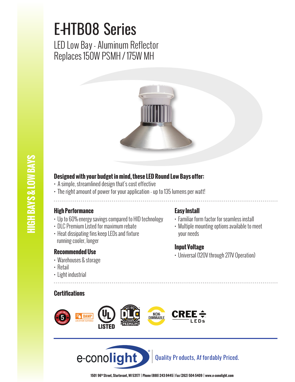# E-HTB08 Series

LED Low Bay - Aluminum Reflector Replaces 150W PSMH / 175W MH



# **IIGH BAYS & LOW BAYS HIGH BAYS & LOW BAYS**

### **Designed with your budget in mind, these LED Round Low Bays offer:**

- A simple, streamlined design that's cost effective
- The right amount of power for your application up to 135 lumens per watt!

#### **High Performance**

- Up to 60% energy savings compared to HID technology
- DLC Premium Listed for maximum rebate
- Heat dissipating fins keep LEDs and fixture running cooler, longer

#### **Recommended Use**

- Warehouses & storage
- Retail
- Light industrial

#### **Certifications**

#### **Easy Install**

- Familiar form factor for seamless install
- Multiple mounting options available to meet your needs

#### **Input Voltage**

• Universal (120V through 277V Operation)



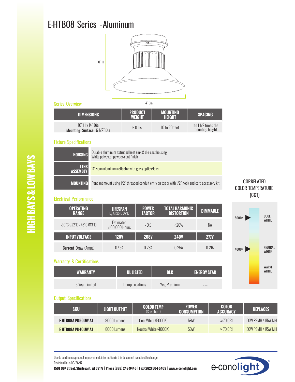## E-HTB08 Series - Aluminum



#### Series Overview

| <b>IDIMENSIONS</b>                              | <b>PRODUCT</b><br><b>WEIGHT</b> | <b>MOUNTING</b><br>HEIGHT | <b>SPACING</b>                          |  |  |  |
|-------------------------------------------------|---------------------------------|---------------------------|-----------------------------------------|--|--|--|
| 10" H x 14" Dia<br>Mounting Surface: 6-1/2" Dia | $6.0$ lbs.                      | $10$ to $20$ feet         | 1 to 1-1/2 times the<br>mounting height |  |  |  |

14" Dia

#### Fixture Specifications



#### Electrical Performance

| <b>OPERATING</b><br><b>RANGE</b>                                      | <b>LIFESPAN</b><br>$L_n$ AT 25°C $(77°F)$ | <b>POWER</b><br><b>FACTOR</b> | <b>TOTAL HARMONIC</b><br><b>DISTORTION</b> | <b>DIMMABLE</b> |
|-----------------------------------------------------------------------|-------------------------------------------|-------------------------------|--------------------------------------------|-----------------|
| $-30^{\circ}$ C ( $-22^{\circ}$ F) $-45^{\circ}$ C (113 $^{\circ}$ F) | Estimated<br>>100,000 Hours               | >0.9                          | $\langle 20\%$                             | No.             |
| <b>INPUT VOLTAGE</b>                                                  | <b>120V</b>                               | <b>208V</b>                   | <b>240V</b>                                | <b>277V</b>     |
| <b>Current Draw (Amps)</b>                                            | N 49A                                     | N 28A                         | O 25A                                      | 0 21A           |

**WARRANTY UL LISTED DLC ENERGY STAR**

#### CORRELATED COLOR TEMPERATURE (CCT)



#### 5-Year Limited Damp Locations Yes, Premium

Warranty & Certifications

| <b>Output Specifications</b> |
|------------------------------|
|                              |

| <b>SKU</b>         | <b>LIGHT OUTPUT</b> | COLOR TEMP<br>(See chart) | <b>POWER</b><br><b>CONSUMPTION</b> | <b>COLOR</b><br><b>ACCURACY</b> | <b>REPLACES</b>     |
|--------------------|---------------------|---------------------------|------------------------------------|---------------------------------|---------------------|
| E-HTB08A-PD50UW-A1 | 8000 Lumens         | Cool White (5000K)        | 59W                                | $\geq$ 70 CRI                   | 150W PSMH / 175W MH |
| E-HTB08A-PD40UW-A1 | 8000 Lumens         | Neutral White (4000K)     | 59W                                | $\geq$ 70 CRI                   | 150W PSMH / 175W MH |

Due to continuous product improvement, information in this document is subject to change. Revision Date: 06/26/17

**1501 96th Street, Sturtevant, WI 53177 | Phone (888) 243-9445 | Fax (262) 504-5409 | www.e–conolight.com**



**HIGH BAYS & LOW BAYS HIGH BAYS & LOW BAYS**